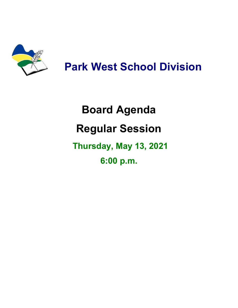

# **Park West School Division**

# **Board Agenda Regular Session Thursday, May 13, 2021 6:00 p.m.**